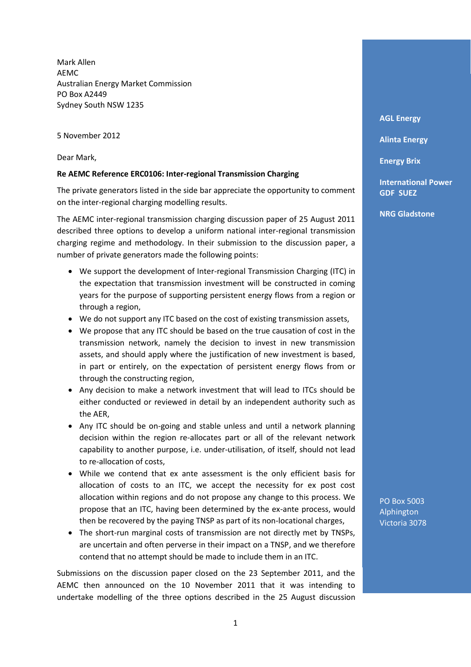Mark Allen AEMC Australian Energy Market Commission PO Box A2449 Sydney South NSW 1235

5 November 2012

Dear Mark,

## **Re AEMC Reference ERC0106: Inter-regional Transmission Charging**

The private generators listed in the side bar appreciate the opportunity to comment on the inter-regional charging modelling results.

The AEMC inter-regional transmission charging discussion paper of 25 August 2011 described three options to develop a uniform national inter-regional transmission charging regime and methodology. In their submission to the discussion paper, a number of private generators made the following points:

- We support the development of Inter‐regional Transmission Charging (ITC) in the expectation that transmission investment will be constructed in coming years for the purpose of supporting persistent energy flows from a region or through a region,
- We do not support any ITC based on the cost of existing transmission assets,
- We propose that any ITC should be based on the true causation of cost in the transmission network, namely the decision to invest in new transmission assets, and should apply where the justification of new investment is based, in part or entirely, on the expectation of persistent energy flows from or through the constructing region,
- Any decision to make a network investment that will lead to ITCs should be either conducted or reviewed in detail by an independent authority such as the AER,
- Any ITC should be on-going and stable unless and until a network planning decision within the region re‐allocates part or all of the relevant network capability to another purpose, i.e. under‐utilisation, of itself, should not lead to re‐allocation of costs,
- While we contend that ex ante assessment is the only efficient basis for allocation of costs to an ITC, we accept the necessity for ex post cost allocation within regions and do not propose any change to this process. We propose that an ITC, having been determined by the ex‐ante process, would then be recovered by the paying TNSP as part of its non‐locational charges,
- The short-run marginal costs of transmission are not directly met by TNSPs, are uncertain and often perverse in their impact on a TNSP, and we therefore contend that no attempt should be made to include them in an ITC.

Submissions on the discussion paper closed on the 23 September 2011, and the AEMC then announced on the 10 November 2011 that it was intending to undertake modelling of the three options described in the 25 August discussion

**AGL Energy**

**Alinta Energy** 

**Energy Brix**

**International Power GDF SUEZ**

**NRG Gladstone** 

PO Box 5003 Alphington Victoria 3078